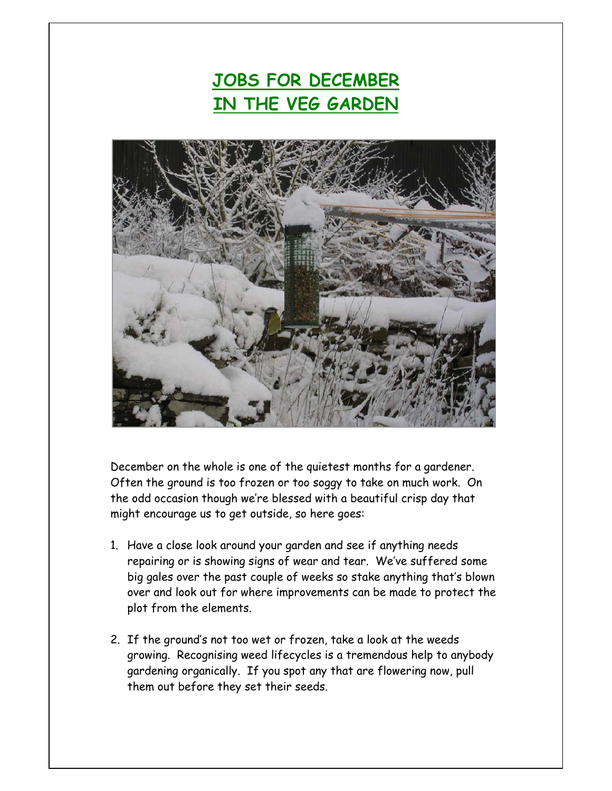## **JOBS FOR DECEMBER IN THE VEG GARDEN**



December on the whole is one of the quietest months for a gardener. Often the ground is too frozen or too soggy to take on much work. On the odd occasion though we're blessed with a beautiful crisp day that might encourage us to get outside, so here goes:

- 1. Have a close look around your garden and see if anything needs repairing or is showing signs of wear and tear. We've suffered some big gales over the past couple of weeks so stake anything that's blown over and look out for where improvements can be made to protect the plot from the elements.
- 2. If the ground's not too wet or frozen, take a look at the weeds growing. Recognising weed lifecycles is a tremendous help to anybody gardening organically. If you spot any that are flowering now, pull them out before they set their seeds.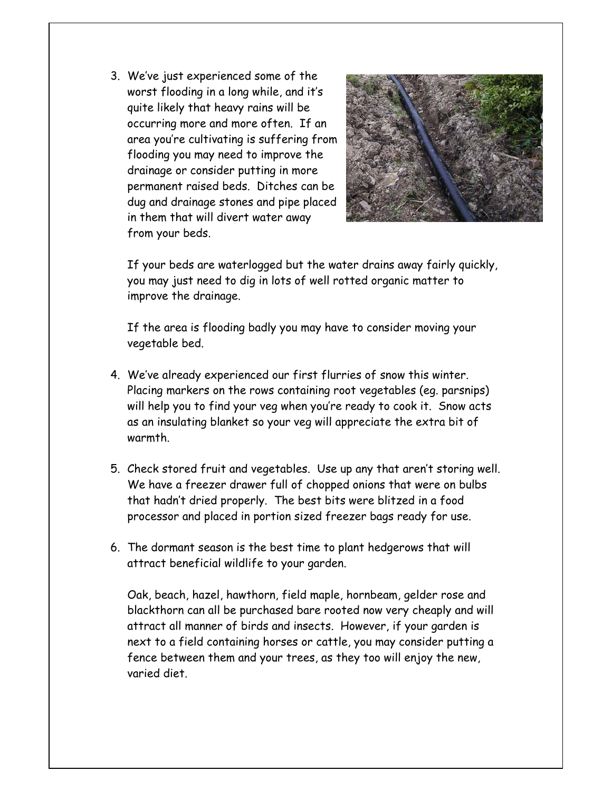3. We've just experienced some of the worst flooding in a long while, and it's quite likely that heavy rains will be occurring more and more often. If an area you're cultivating is suffering from flooding you may need to improve the drainage or consider putting in more permanent raised beds. Ditches can be dug and drainage stones and pipe placed in them that will divert water away from your beds.



If your beds are waterlogged but the water drains away fairly quickly, you may just need to dig in lots of well rotted organic matter to improve the drainage.

If the area is flooding badly you may have to consider moving your vegetable bed.

- 4. We've already experienced our first flurries of snow this winter. Placing markers on the rows containing root vegetables (eg. parsnips) will help you to find your veg when you're ready to cook it. Snow acts as an insulating blanket so your veg will appreciate the extra bit of warmth.
- 5. Check stored fruit and vegetables. Use up any that aren't storing well. We have a freezer drawer full of chopped onions that were on bulbs that hadn't dried properly. The best bits were blitzed in a food processor and placed in portion sized freezer bags ready for use.
- 6. The dormant season is the best time to plant hedgerows that will attract beneficial wildlife to your garden.

Oak, beach, hazel, hawthorn, field maple, hornbeam, gelder rose and blackthorn can all be purchased bare rooted now very cheaply and will attract all manner of birds and insects. However, if your garden is next to a field containing horses or cattle, you may consider putting a fence between them and your trees, as they too will enjoy the new, varied diet.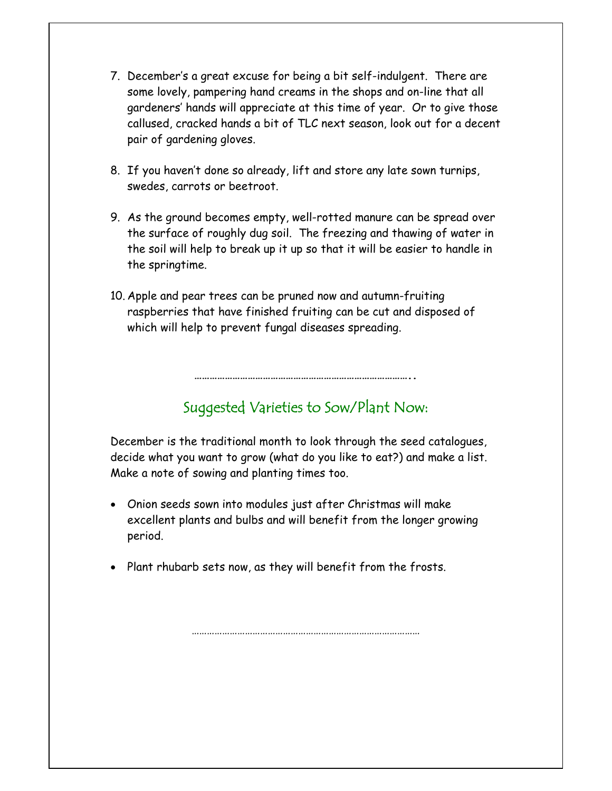- 7. December's a great excuse for being a bit self-indulgent. There are some lovely, pampering hand creams in the shops and on-line that all gardeners' hands will appreciate at this time of year. Or to give those callused, cracked hands a bit of TLC next season, look out for a decent pair of gardening gloves.
- 8. If you haven't done so already, lift and store any late sown turnips, swedes, carrots or beetroot.
- 9. As the ground becomes empty, well-rotted manure can be spread over the surface of roughly dug soil. The freezing and thawing of water in the soil will help to break up it up so that it will be easier to handle in the springtime.
- 10. Apple and pear trees can be pruned now and autumn-fruiting raspberries that have finished fruiting can be cut and disposed of which will help to prevent fungal diseases spreading.

## Suggested Varieties to Sow/Plant Now:

**…………………………………………………………………………..** 

December is the traditional month to look through the seed catalogues, decide what you want to grow (what do you like to eat?) and make a list. Make a note of sowing and planting times too.

- Onion seeds sown into modules just after Christmas will make excellent plants and bulbs and will benefit from the longer growing period.
- Plant rhubarb sets now, as they will benefit from the frosts.

………………………………………………………………………………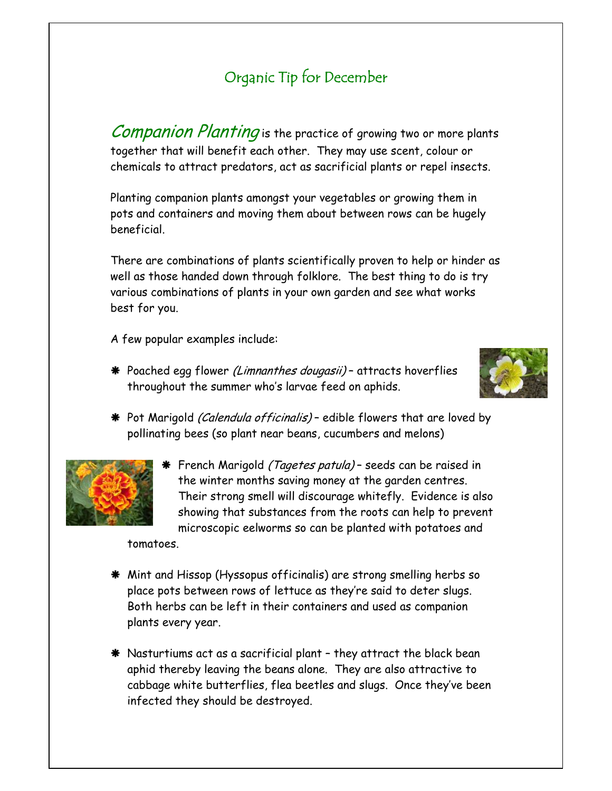## Organic Tip for December

Companion Planting is the practice of growing two or more plants together that will benefit each other. They may use scent, colour or chemicals to attract predators, act as sacrificial plants or repel insects.

Planting companion plants amongst your vegetables or growing them in pots and containers and moving them about between rows can be hugely beneficial.

There are combinations of plants scientifically proven to help or hinder as well as those handed down through folklore. The best thing to do is try various combinations of plants in your own garden and see what works best for you.

A few popular examples include:

\* Poached egg flower (Limnanthes dougasii) - attracts hoverflies throughout the summer who's larvae feed on aphids.



\* Pot Marigold (Calendula officinalis) - edible flowers that are loved by pollinating bees (so plant near beans, cucumbers and melons)



**\*** French Marigold *(Tagetes patula)* – seeds can be raised in the winter months saving money at the garden centres. Their strong smell will discourage whitefly. Evidence is also showing that substances from the roots can help to prevent microscopic eelworms so can be planted with potatoes and

tomatoes.

- Æ Mint and Hissop (Hyssopus officinalis) are strong smelling herbs so place pots between rows of lettuce as they're said to deter slugs. Both herbs can be left in their containers and used as companion plants every year.
- $*$  Nasturtiums act as a sacrificial plant they attract the black bean aphid thereby leaving the beans alone. They are also attractive to cabbage white butterflies, flea beetles and slugs. Once they've been infected they should be destroyed.